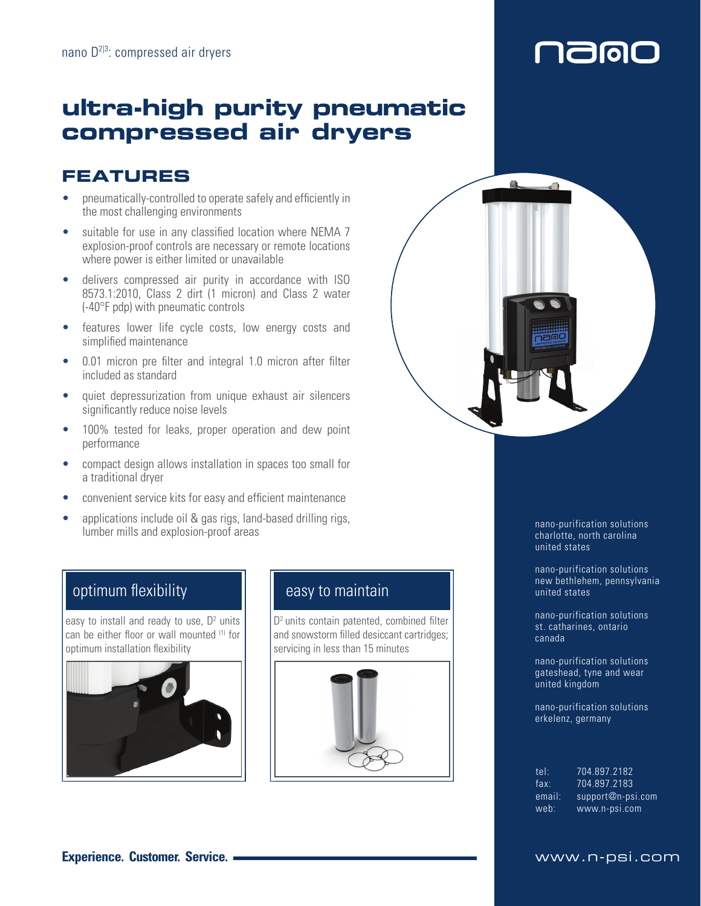# naigi

## **ultra-high purity pneumatic compressed air dryers**

### **FEATURES**

- pneumatically-controlled to operate safely and efficiently in the most challenging environments
- suitable for use in any classified location where NEMA 7 explosion-proof controls are necessary or remote locations where power is either limited or unavailable
- delivers compressed air purity in accordance with ISO 8573.1:2010, Class 2 dirt (1 micron) and Class 2 water (-40°F pdp) with pneumatic controls
- features lower life cycle costs, low energy costs and simplified maintenance
- 0.01 micron pre filter and integral 1.0 micron after filter included as standard
- quiet depressurization from unique exhaust air silencers significantly reduce noise levels
- 100% tested for leaks, proper operation and dew point performance
- compact design allows installation in spaces too small for a traditional dryer
- convenient service kits for easy and efficient maintenance
- applications include oil & gas rigs, land-based drilling rigs, deprivations include on expansion-proof areas unified unified the state of the control of the mano-purification solutions during the late of the control of the control of the control of the control of the control of the co

#### optimum flexibility

easy to install and ready to use,  $D<sup>2</sup>$  units can be either floor or wall mounted (1) for optimum installation flexibility



#### easy to maintain

D<sup>2</sup> units contain patented, combined filter and snowstorm filled desiccant cartridges; servicing in less than 15 minutes





charlotte, north carolina united states

nano-purification solutions new bethlehem, pennsylvania united states

nano-purification solutions st. catharines, ontario canada

nano-purification solutions gateshead, tyne and wear united kingdom

nano-purification solutions erkelenz, germany

| tel:   | 704.897.2182      |
|--------|-------------------|
| fax:   | 704.897.2183      |
| email: | support@n-psi.com |
| web:   | www.n-psi.com     |